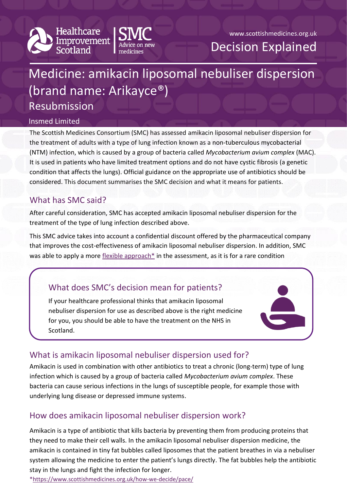



# Medicine: amikacin liposomal nebuliser dispersion (brand name: Arikayce®) Resubmission

#### Insmed Limited

The Scottish Medicines Consortium (SMC) has assessed amikacin liposomal nebuliser dispersion for the treatment of adults with a type of lung infection known as a non-tuberculous mycobacterial (NTM) infection, which is caused by a group of bacteria called *Mycobacterium avium complex* (MAC). It is used in patients who have limited treatment options and do not have cystic fibrosis (a genetic condition that affects the lungs). Official guidance on the appropriate use of antibiotics should be considered. This document summarises the SMC decision and what it means for patients.

## What has SMC said?

After careful consideration, SMC has accepted amikacin liposomal nebuliser dispersion for the treatment of the type of lung infection described above.

This SMC advice takes into account a confidential discount offered by the pharmaceutical company that improves the cost-effectiveness of amikacin liposomal nebuliser dispersion. In addition, SMC was able to apply a more [flexible approach\\*](https://www.scottishmedicines.org.uk/how-we-decide/pace/) in the assessment, as it is for a rare condition

# What does SMC's decision mean for patients?

If your healthcare professional thinks that amikacin liposomal nebuliser dispersion for use as described above is the right medicine for you, you should be able to have the treatment on the NHS in Scotland.



# What is amikacin liposomal nebuliser dispersion used for?

Amikacin is used in combination with other antibiotics to treat a chronic (long-term) type of lung infection which is caused by a group of bacteria called *Mycobacterium avium complex*. These bacteria can cause serious infections in the lungs of susceptible people, for example those with underlying lung disease or depressed immune systems.

# How does amikacin liposomal nebuliser dispersion work?

Amikacin is a type of antibiotic that kills bacteria by preventing them from producing proteins that they need to make their cell walls. In the amikacin liposomal nebuliser dispersion medicine, the amikacin is contained in tiny fat bubbles called liposomes that the patient breathes in via a nebuliser system allowing the medicine to enter the patient's lungs directly. The fat bubbles help the antibiotic stay in the lungs and fight the infection for longer.

[\\*https://www.scottishmedicines.org.uk/how-we-decide/pace/](https://www.scottishmedicines.org.uk/how-we-decide/pace/)